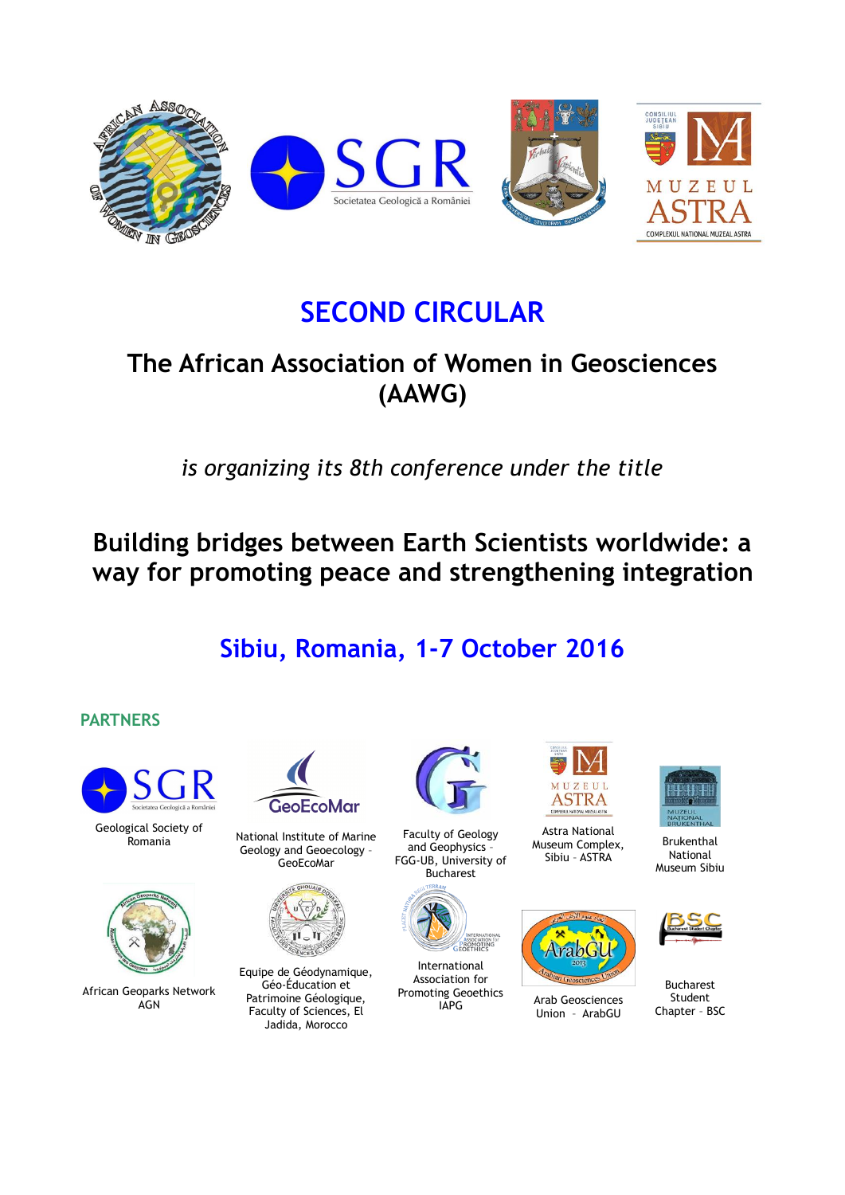

# **SECOND CIRCULAR**

# **The African Association of Women in Geosciences (AAWG)**

*is organizing its 8th conference under the title*

**Building bridges between Earth Scientists worldwide: a way for promoting peace and strengthening integration**

# **Sibiu, Romania, 1-7 October 2016**

# **PARTNERS**



Geological Society of



African Geoparks Network **AGN** 



gical Society of Mational Institute of Marine Geology and Geoecology – GeoEcoMar



Equipe de Géodynamique, Géo-Éducation et Patrimoine Géologique, Faculty of Sciences, El Jadida, Morocco



Faculty of Geology and Geophysics – FGG-UB, University of Bucharest



International Association for Promoting Geoethics<br>IAPG



Astra National Museum Complex, Sibiu – ASTRA



Arab Geosciences Union – ArabGU



Brukenthal National Museum Sibiu



Bucharest Student Chapter – BSC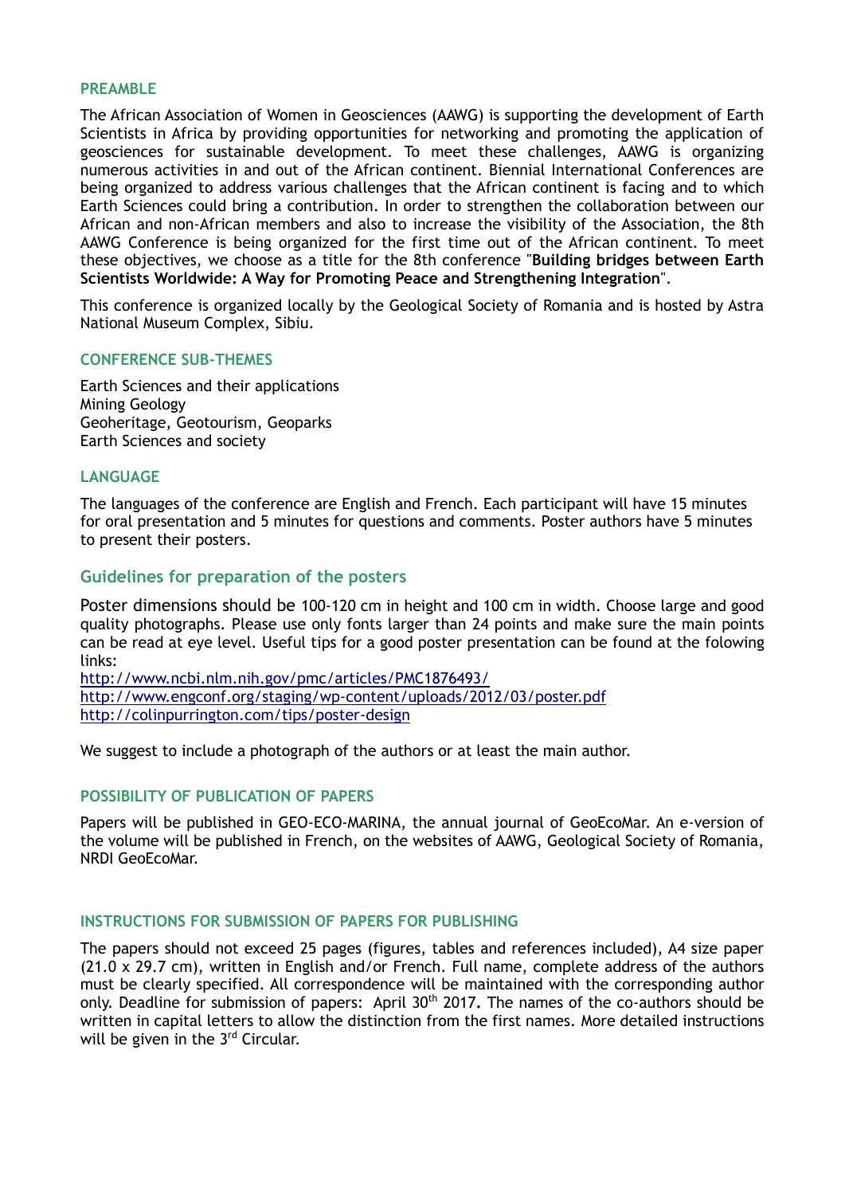#### **PREAMBLE**

The African Association of Women in Geosciences (AAWG) is supporting the development of Earth Scientists in Africa by providing opportunities for networking and promoting the application of geosciences for sustainable development. To meet these challenges, AAWG is organizing numerous activities in and out of the African continent. Biennial International Conferences are being organized to address various challenges that the African continent is facing and to which Earth Sciences could bring a contribution. In order to strengthen the collaboration between our African and non-African members and also to increase the visibility of the Association, the 8th AAWG Conference is being organized for the first time out of the African continent. To meet these objectives, we choose as a title for the 8th conference "**Building bridges between Earth Scientists Worldwide: A Way for Promoting Peace and Strengthening Integration**".

This conference is organized locally by the Geological Society of Romania and is hosted by Astra National Museum Complex, Sibiu.

#### **CONFERENCE SUB-THEMES**

Earth Sciences and their applications Mining Geology Geoheritage, Geotourism, Geoparks Earth Sciences and society

#### **LANGUAGE**

The languages of the conference are English and French. Each participant will have 15 minutes for oral presentation and 5 minutes for questions and comments. Poster authors have 5 minutes to present their posters.

## **Guidelines for preparation of the posters**

Poster dimensions should be 100-120 cm in height and 100 cm in width. Choose large and good quality photographs. Please use only fonts larger than 24 points and make sure the main points can be read at eye level. Useful tips for a good poster presentation can be found at the folowing links:

<http://www.ncbi.nlm.nih.gov/pmc/articles/PMC1876493/> <http://www.engconf.org/staging/wp-content/uploads/2012/03/poster.pdf> <http://colinpurrington.com/tips/poster-design>

We suggest to include a photograph of the authors or at least the main author.

#### **POSSIBILITY OF PUBLICATION OF PAPERS**

Papers will be published in GEO-ECO-MARINA, the annual journal of GeoEcoMar. An e-version of the volume will be published in French, on the websites of AAWG, Geological Society of Romania, NRDI GeoEcoMar.

#### **INSTRUCTIONS FOR SUBMISSION OF PAPERS FOR PUBLISHING**

The papers should not exceed 25 pages (figures, tables and references included), A4 size paper (21.0 x 29.7 cm), written in English and/or French. Full name, complete address of the authors must be clearly specified. All correspondence will be maintained with the corresponding author only. Deadline for submission of papers: April 30th 2017**.** The names of the co-authors should be written in capital letters to allow the distinction from the first names. More detailed instructions will be given in the 3<sup>rd</sup> Circular.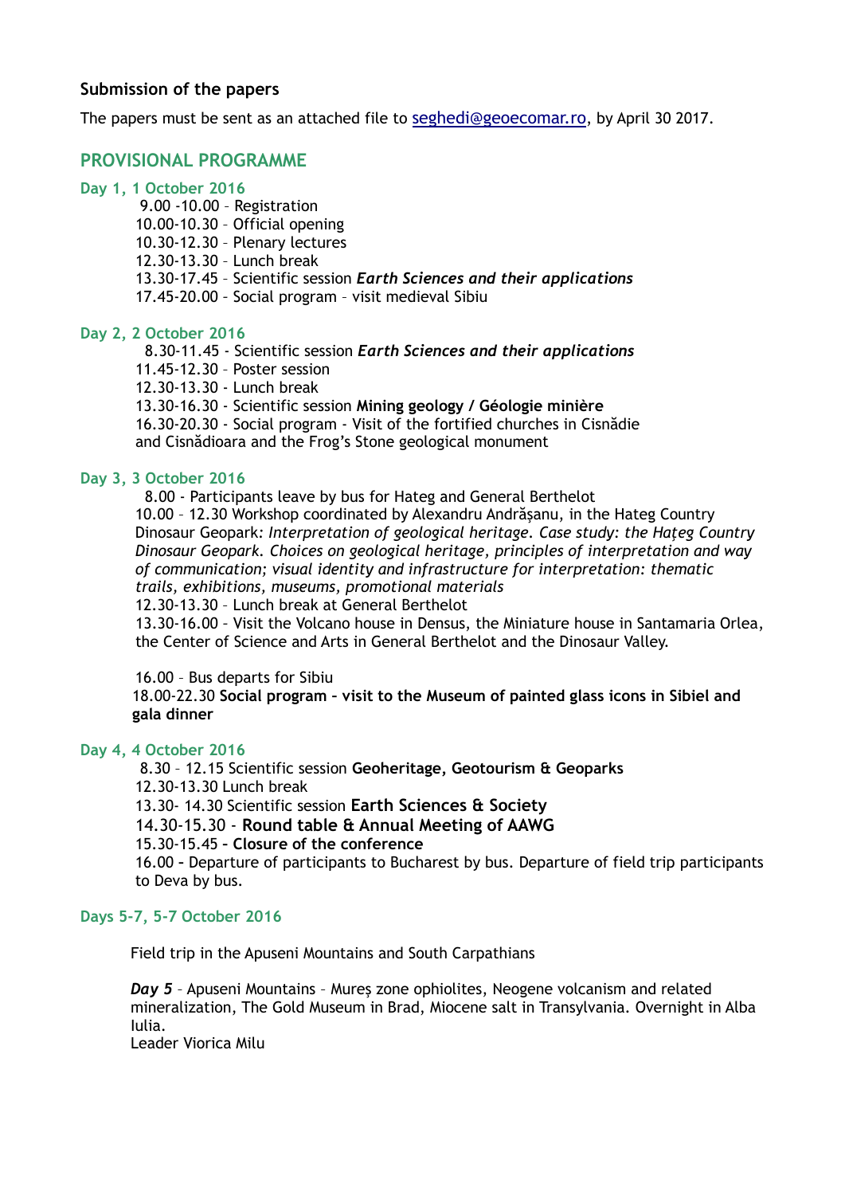## **Submission of the papers**

The papers must be sent as an attached file to [seghedi@geoecomar.ro](mailto:seghedi@geoecomar.ro), by April 30 2017.

## **PROVISIONAL PROGRAMME**

#### **Day 1, 1 October 2016**

- 9.00 -10.00 Registration
- 10.00-10.30 Official opening
- 10.30-12.30 Plenary lectures
- 12.30-13.30 Lunch break
- 13.30-17.45 Scientific session *Earth Sciences and their applications*
- 17.45-20.00 *–* Social program visit medieval Sibiu

## **Day 2, 2 October 2016**

8.30-11.45 - Scientific session *Earth Sciences and their applications*

- 11.45-12.30 Poster session
- 12.30-13.30 Lunch break

13.30-16.30 - Scientific session **Mining geology / Géologie minière** 

16.30-20.30 - Social program - Visit of the fortified churches in Cisnădie and Cisnădioara and the Frog's Stone geological monument

## **Day 3, 3 October 2016**

8.00 - Participants leave by bus for Hateg and General Berthelot

10.00 – 12.30 Workshop coordinated by Alexandru Andrăşanu, in the Hateg Country Dinosaur Geopark: *Interpretation of geological heritage. Case study: the Hateg Country Dinosaur Geopark. Choices on geological heritage, principles of interpretation and way of communication; visual identity and infrastructure for interpretation: thematic trails, exhibitions, museums, promotional materials*

12.30-13.30 – Lunch break at General Berthelot

13.30-16.00 *–* Visit the Volcano house in Densus, the Miniature house in Santamaria Orlea, the Center of Science and Arts in General Berthelot and the Dinosaur Valley.

#### 16.00 – Bus departs for Sibiu

 18.00-22.30 **Social program – visit to the Museum of painted glass icons in Sibiel and gala dinner**

#### **Day 4, 4 October 2016**

8.30 – 12.15 Scientific session **Geoheritage, Geotourism & Geoparks**  12.30-13.30 Lunch break

13.30- 14.30 Scientific session **Earth Sciences & Society**

14.30-15.30 - **Round table & Annual Meeting of AAWG**

15.30-15.45 **– Closure of the conference**

16.00 **–** Departure of participants to Bucharest by bus. Departure of field trip participants to Deva by bus.

#### **Days 5-7, 5-7 October 2016**

Field trip in the Apuseni Mountains and South Carpathians

*Day 5* – Apuseni Mountains – Mureş zone ophiolites, Neogene volcanism and related mineralization, The Gold Museum in Brad, Miocene salt in Transylvania. Overnight in Alba Iulia.

Leader Viorica Milu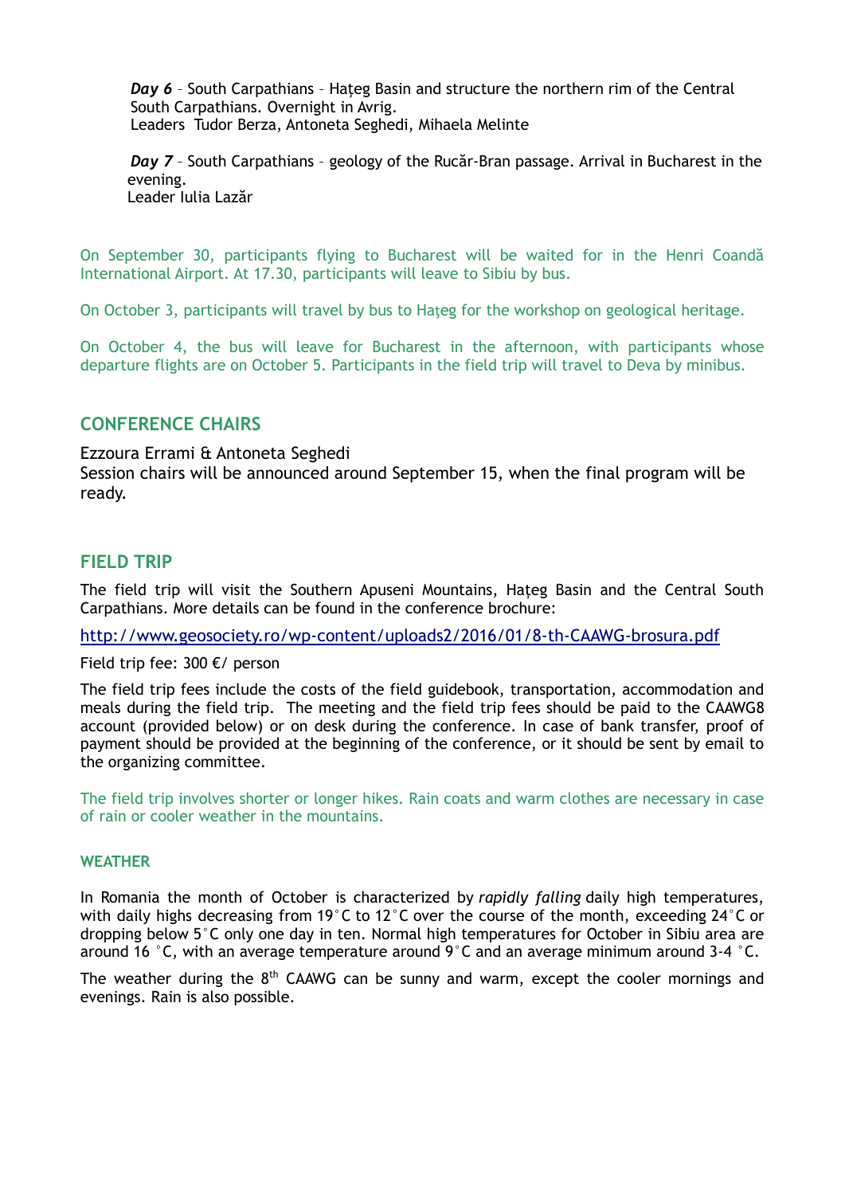**Day 6** - South Carpathians - Hateg Basin and structure the northern rim of the Central South Carpathians. Overnight in Avrig. Leaders Tudor Berza, Antoneta Seghedi, Mihaela Melinte

*Day 7* – South Carpathians – geology of the Rucăr-Bran passage. Arrival in Bucharest in the evening. Leader Iulia Lazăr

On September 30, participants flying to Bucharest will be waited for in the Henri Coandă International Airport. At 17.30, participants will leave to Sibiu by bus.

On October 3, participants will travel by bus to Hateg for the workshop on geological heritage.

On October 4, the bus will leave for Bucharest in the afternoon, with participants whose departure flights are on October 5. Participants in the field trip will travel to Deva by minibus.

## **CONFERENCE CHAIRS**

Ezzoura Errami & Antoneta Seghedi Session chairs will be announced around September 15, when the final program will be ready.

## **FIELD TRIP**

The field trip will visit the Southern Apuseni Mountains, Haţeg Basin and the Central South Carpathians. More details can be found in the conference brochure:

<http://www.geosociety.ro/wp-content/uploads2/2016/01/8-th-CAAWG-brosura.pdf>

Field trip fee: 300 €/ person

The field trip fees include the costs of the field guidebook, transportation, accommodation and meals during the field trip. The meeting and the field trip fees should be paid to the CAAWG8 account (provided below) or on desk during the conference. In case of bank transfer, proof of payment should be provided at the beginning of the conference, or it should be sent by email to the organizing committee.

The field trip involves shorter or longer hikes. Rain coats and warm clothes are necessary in case of rain or cooler weather in the mountains.

## **WEATHER**

In Romania the month of October is characterized by *rapidly falling* daily high temperatures, with daily highs decreasing from 19°C to 12°C over the course of the month, exceeding 24°C or dropping below 5°C only one day in ten. Normal high temperatures for October in Sibiu area are around 16  $\degree$ C, with an average temperature around 9 $\degree$ C and an average minimum around 3-4  $\degree$ C.

The weather during the  $8<sup>th</sup>$  CAAWG can be sunny and warm, except the cooler mornings and evenings. Rain is also possible.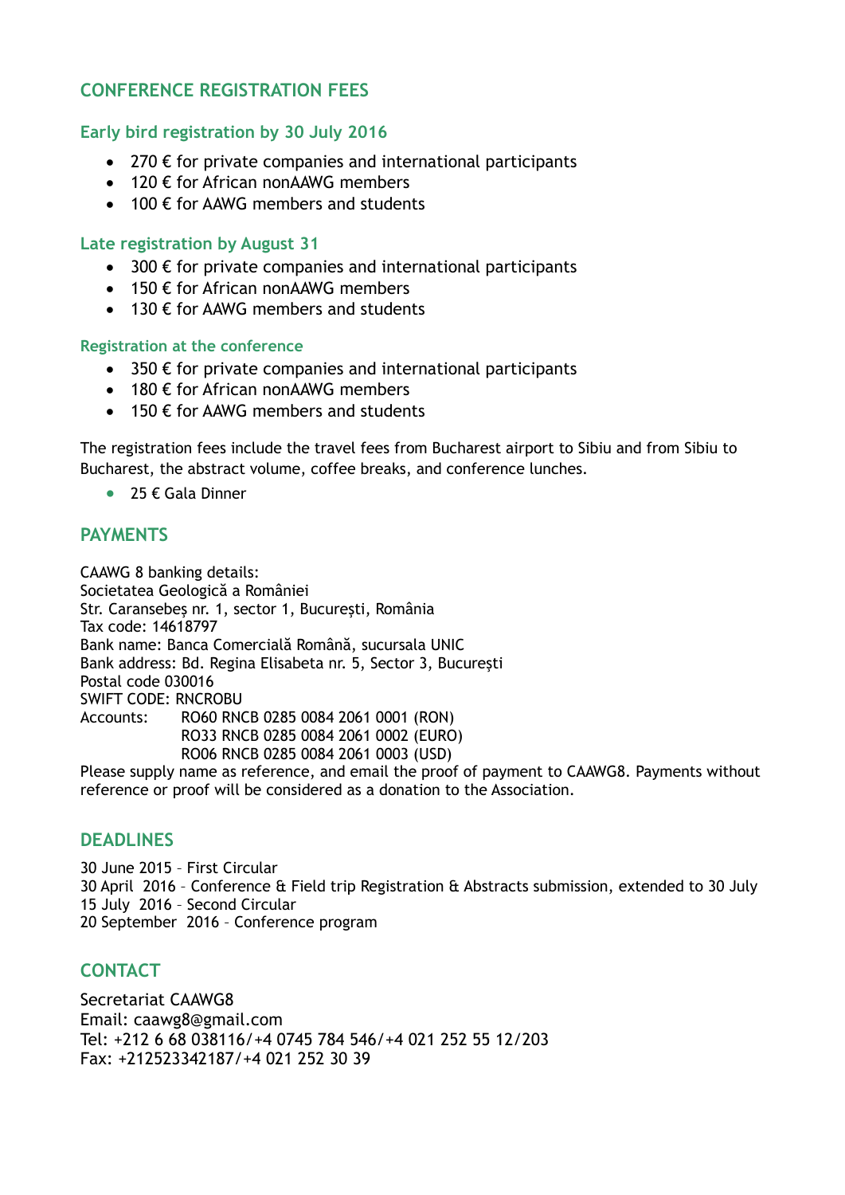# **CONFERENCE REGISTRATION FEES**

## **Early bird registration by 30 July 2016**

- 270  $\epsilon$  for private companies and international participants
- $\bullet$  120 € for African nonAAWG members
- $\bullet$  100  $\epsilon$  for AAWG members and students

## **Late registration by August 31**

- $\bullet$  300  $\epsilon$  for private companies and international participants
- $\bullet$  150  $\epsilon$  for African nonAAWG members
- 130  $\epsilon$  for AAWG members and students

## **Registration at the conference**

- $\bullet$  350  $\epsilon$  for private companies and international participants
- $\cdot$  180  $\epsilon$  for African nonAAWG members
- $\bullet$  150 € for AAWG members and students

The registration fees include the travel fees from Bucharest airport to Sibiu and from Sibiu to Bucharest, the abstract volume, coffee breaks, and conference lunches.

 $\bullet$  25 € Gala Dinner

## **PAYMENTS**

CAAWG 8 banking details: Societatea Geologică a României Str. Caransebeş nr. 1, sector 1, Bucureşti, România Tax code: 14618797 Bank name: Banca Comercială Română, sucursala UNIC Bank address: Bd. Regina Elisabeta nr. 5, Sector 3, Bucureşti Postal code 030016 SWIFT CODE: RNCROBU Accounts: RO60 RNCB 0285 0084 2061 0001 (RON) RO33 RNCB 0285 0084 2061 0002 (EURO) RO06 RNCB 0285 0084 2061 0003 (USD)

Please supply name as reference, and email the proof of payment to CAAWG8. Payments without reference or proof will be considered as a donation to the Association.

# **DEADLINES**

30 June 2015 – First Circular 30 April 2016 – Conference & Field trip Registration & Abstracts submission, extended to 30 July 15 July 2016 – Second Circular 20 September 2016 – Conference program

# **CONTACT**

Secretariat CAAWG8 Email: caawg8@gmail.com Tel: +212 6 68 038116/+4 0745 784 546/+4 021 252 55 12/203 Fax: +212523342187/+4 021 252 30 39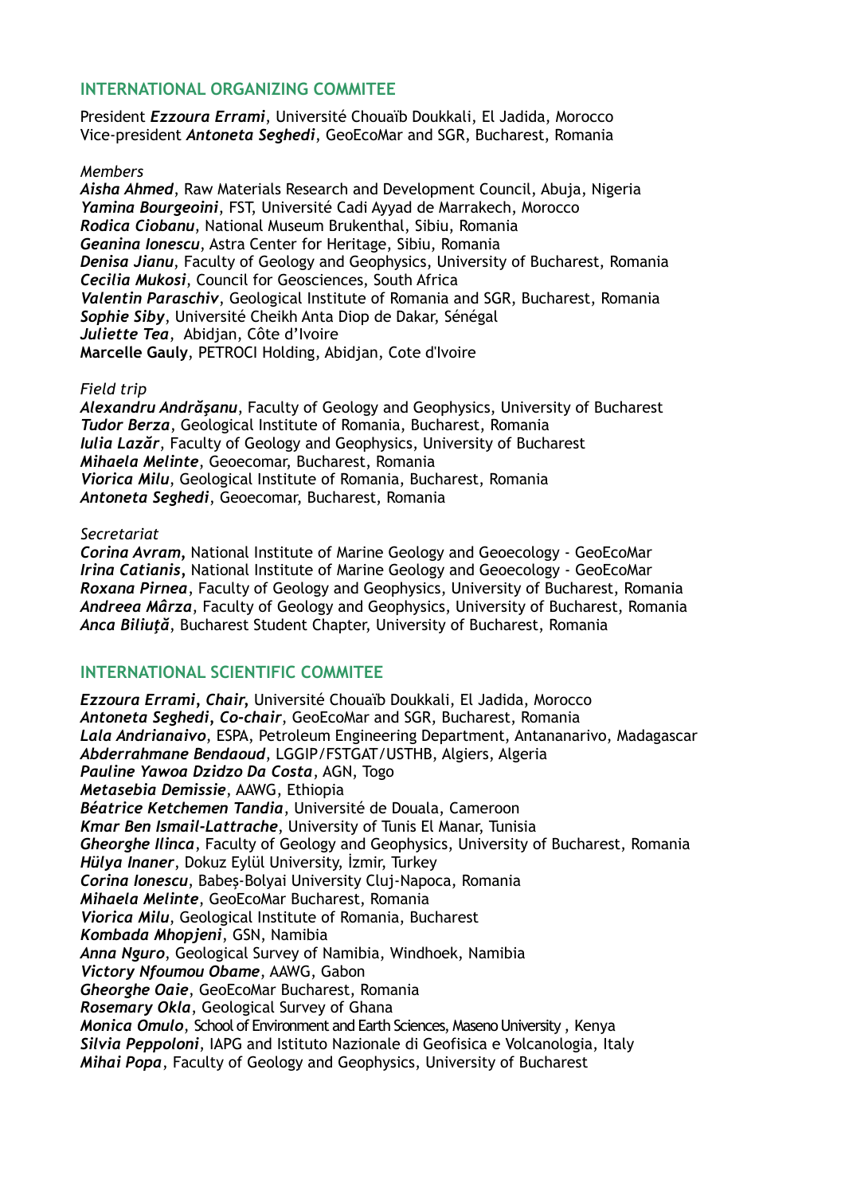## **INTERNATIONAL ORGANIZING COMMITEE**

President *Ezzoura Errami*, Université Chouaïb Doukkali, El Jadida, Morocco Vice-president *Antoneta Seghedi*, GeoEcoMar and SGR, Bucharest, Romania

### *Members*

*Aisha Ahmed*, Raw Materials Research and Development Council, Abuja, Nigeria *Yamina Bourgeoini*, FST, Université Cadi Ayyad de Marrakech, Morocco *Rodica Ciobanu*, National Museum Brukenthal, Sibiu, Romania *Geanina Ionescu*, Astra Center for Heritage, Sibiu, Romania *Denisa Jianu*, Faculty of Geology and Geophysics, University of Bucharest, Romania *Cecilia Mukosi*, Council for Geosciences, South Africa *Valentin Paraschiv*, Geological Institute of Romania and SGR, Bucharest, Romania *Sophie Siby*, Université Cheikh Anta Diop de Dakar, Sénégal *Juliette Tea*, Abidjan, Côte d'Ivoire **Marcelle Gauly**, PETROCI Holding, Abidjan, Cote d'Ivoire

## *Field trip*

*Alexandru Andrăşanu*, Faculty of Geology and Geophysics, University of Bucharest *Tudor Berza*, Geological Institute of Romania, Bucharest, Romania *Iulia Lazăr*, Faculty of Geology and Geophysics, University of Bucharest *Mihaela Melinte*, Geoecomar, Bucharest, Romania *Viorica Milu*, Geological Institute of Romania, Bucharest, Romania *Antoneta Seghedi*, Geoecomar, Bucharest, Romania

## *Secretariat*

*Corina Avram,* National Institute of Marine Geology and Geoecology - GeoEcoMar *Irina Catianis,* National Institute of Marine Geology and Geoecology - GeoEcoMar *Roxana Pirnea*, Faculty of Geology and Geophysics, University of Bucharest, Romania *Andreea Mârza*, Faculty of Geology and Geophysics, University of Bucharest, Romania *Anca Biliuţă*, Bucharest Student Chapter, University of Bucharest, Romania

## **INTERNATIONAL SCIENTIFIC COMMITEE**

*Ezzoura Errami, Chair,* Université Chouaïb Doukkali, El Jadida, Morocco *Antoneta Seghedi, Co-chair*, GeoEcoMar and SGR, Bucharest, Romania *Lala Andrianaivo*, ESPA, Petroleum Engineering Department, Antananarivo, Madagascar *Abderrahmane Bendaoud*, LGGIP/FSTGAT/USTHB, Algiers, Algeria *Pauline Yawoa Dzidzo Da Costa*, AGN, Togo *Metasebia Demissie*, AAWG, Ethiopia *Béatrice Ketchemen Tandia*, Université de Douala, Cameroon *Kmar Ben Ismail-Lattrache*, University of Tunis El Manar, Tunisia *Gheorghe Ilinca*, Faculty of Geology and Geophysics, University of Bucharest, Romania *Hülya Inaner*, Dokuz Eylül University, İzmir, Turkey *Corina Ionescu*, Babeş-Bolyai University Cluj-Napoca, Romania *Mihaela Melinte*, GeoEcoMar Bucharest, Romania *Viorica Milu*, Geological Institute of Romania, Bucharest *Kombada Mhopjeni*, GSN, Namibia *Anna Nguro*, Geological Survey of Namibia, Windhoek, Namibia *Victory Nfoumou Obame*, AAWG, Gabon *Gheorghe Oaie*, GeoEcoMar Bucharest, Romania *Rosemary Okla*, Geological Survey of Ghana *Monica Omulo*, School of Environment and Earth Sciences, Maseno University , Kenya *Silvia Peppoloni*, IAPG and Istituto Nazionale di Geofisica e Volcanologia, Italy *Mihai Popa*, Faculty of Geology and Geophysics, University of Bucharest